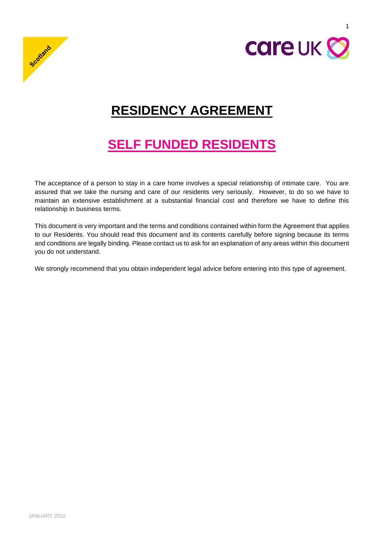



1

# **RESIDENCY AGREEMENT**

# **SELF FUNDED RESIDENTS**

The acceptance of a person to stay in a care home involves a special relationship of intimate care. You are assured that we take the nursing and care of our residents very seriously. However, to do so we have to maintain an extensive establishment at a substantial financial cost and therefore we have to define this relationship in business terms.

This document is very important and the terms and conditions contained within form the Agreement that applies to our Residents. You should read this document and its contents carefully before signing because its terms and conditions are legally binding. Please contact us to ask for an explanation of any areas within this document you do not understand.

We strongly recommend that you obtain independent legal advice before entering into this type of agreement.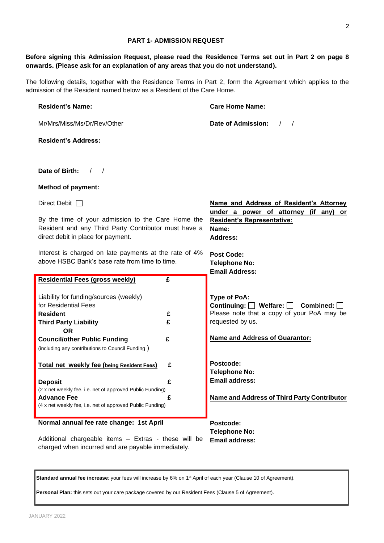**Standard annual fee increase**: your fees will increase by 6% on 1<sup>st</sup> April of each year (Clause [10](#page-17-0) of Agreement).

**Personal Plan:** this sets out your care package covered by our Resident Fees (Clause 5 of Agreement).

# JANUARY 2022

| Resident and any Third Party Contributor must have a<br>direct debit in place for payment.                 | Name:<br><b>Address:</b> |                                                                    |
|------------------------------------------------------------------------------------------------------------|--------------------------|--------------------------------------------------------------------|
| Interest is charged on late payments at the rate of 4%<br>above HSBC Bank's base rate from time to time.   |                          | <b>Post Code:</b><br><b>Telephone No:</b><br><b>Email Address:</b> |
| <b>Residential Fees (gross weekly)</b>                                                                     | $\overline{\mathbf{f}}$  |                                                                    |
| Liability for funding/sources (weekly)                                                                     |                          | Type of PoA:                                                       |
| for Residential Fees                                                                                       |                          | Continuing: $\Box$ Welfare: $\Box$ Combined: $\Box$                |
| <b>Resident</b>                                                                                            | £                        | Please note that a copy of your PoA may be                         |
| <b>Third Party Liability</b>                                                                               | £                        | requested by us.                                                   |
| <b>OR</b>                                                                                                  |                          |                                                                    |
| <b>Council/other Public Funding</b>                                                                        | £                        | <b>Name and Address of Guarantor:</b>                              |
| (including any contributions to Council Funding)                                                           |                          |                                                                    |
| Total net weekly fee (being Resident Fees)                                                                 | £                        | Postcode:<br><b>Telephone No:</b>                                  |
| <b>Deposit</b>                                                                                             | £                        | <b>Email address:</b>                                              |
| (2 x net weekly fee, i.e. net of approved Public Funding)                                                  |                          |                                                                    |
| <b>Advance Fee</b>                                                                                         | £                        | <b>Name and Address of Third Party Contributor</b>                 |
| (4 x net weekly fee, i.e. net of approved Public Funding)                                                  |                          |                                                                    |
| Normal annual fee rate change: 1st April                                                                   |                          | Postcode:                                                          |
|                                                                                                            |                          | <b>Telephone No:</b>                                               |
| Additional chargeable items - Extras - these will be<br>charged when incurred and are payable immediately. |                          | <b>Email address:</b>                                              |

#### **PART 1- ADMISSION REQUEST**

# **Before signing this Admission Request, please read the Residence Terms set out in Part 2 on page 8 onwards. (Please ask for an explanation of any areas that you do not understand).**

The following details, together with the Residence Terms in Part 2, form the Agreement which applies to the admission of the Resident named below as a Resident of the Care Home.

**Care Home Name:**

**Date of Admission:** / /

**Resident's Representative:**

**Name and Address of Resident's Attorney under a power of attorney (if any) or** 

| <b>Resident's Name:</b> |  |
|-------------------------|--|
|-------------------------|--|

**Resident's Address:**

**Date of Birth:** / /

**Method of payment:**

Direct Debit  $\Box$ 

Mr/Mrs/Miss/Ms/Dr/Rev/Other

By the time of your admission to the Care Home the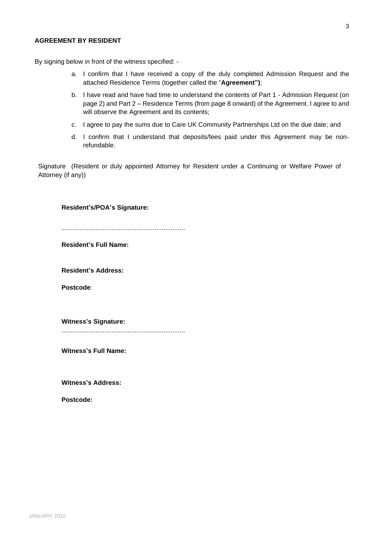# **AGREEMENT BY RESIDENT**

By signing below in front of the witness specified: -

- a. I confirm that I have received a copy of the duly completed Admission Request and the attached Residence Terms (together called the "**Agreement")**;
- b. I have read and have had time to understand the contents of Part 1 Admission Request (on page 2) and Part 2 – Residence Terms (from page 8 onward) of the Agreement. I agree to and will observe the Agreement and its contents;
- c. I agree to pay the sums due to Care UK Community Partnerships Ltd on the due date; and
- d. I confirm that I understand that deposits/fees paid under this Agreement may be nonrefundable.

Signature (Resident or duly appointed Attorney for Resident under a Continuing or Welfare Power of Attorney (if any))

## **Resident's/POA's Signature:**

.....................................................................

**Resident's Full Name:**

**Resident's Address:**

**Postcode**:

**Witness's Signature:** .....................................................................

**Witness's Full Name:**

**Witness's Address:**

**Postcode:**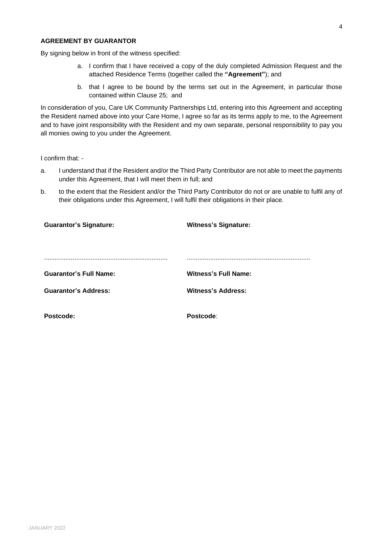# **AGREEMENT BY GUARANTOR**

By signing below in front of the witness specified:

- a. I confirm that I have received a copy of the duly completed Admission Request and the attached Residence Terms (together called the **"Agreement"**); and
- b. that I agree to be bound by the terms set out in the Agreement, in particular those contained within Clause [25;](#page-28-0) and

In consideration of you, Care UK Community Partnerships Ltd, entering into this Agreement and accepting the Resident named above into your Care Home, I agree so far as its terms apply to me, to the Agreement and to have joint responsibility with the Resident and my own separate, personal responsibility to pay you all monies owing to you under the Agreement.

I confirm that: -

- a. I understand that if the Resident and/or the Third Party Contributor are not able to meet the payments under this Agreement, that I will meet them in full; and
- b. to the extent that the Resident and/or the Third Party Contributor do not or are unable to fulfil any of their obligations under this Agreement, I will fulfil their obligations in their place.

| <b>Guarantor's Signature:</b> | <b>Witness's Signature:</b> |
|-------------------------------|-----------------------------|
|                               |                             |
|                               |                             |
| <b>Guarantor's Full Name:</b> | <b>Witness's Full Name:</b> |
| <b>Guarantor's Address:</b>   | <b>Witness's Address:</b>   |
|                               |                             |
| Postcode:                     | Postcode:                   |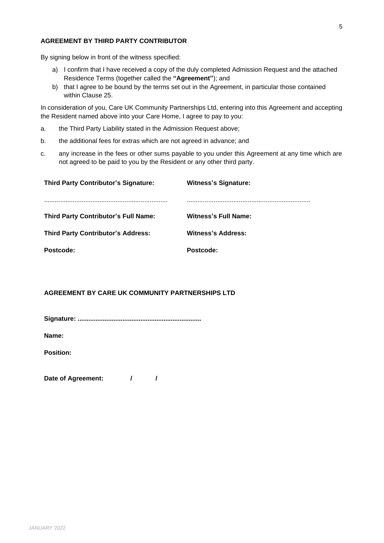# **AGREEMENT BY THIRD PARTY CONTRIBUTOR**

By signing below in front of the witness specified:

- a) I confirm that I have received a copy of the duly completed Admission Request and the attached Residence Terms (together called the **"Agreement"**); and
- b) that I agree to be bound by the terms set out in the Agreement, in particular those contained within Clause [25.](#page-28-0)

In consideration of you, Care UK Community Partnerships Ltd, entering into this Agreement and accepting the Resident named above into your Care Home, I agree to pay to you:

- a. the Third Party Liability stated in the Admission Request above;
- b. the additional fees for extras which are not agreed in advance; and
- c. any increase in the fees or other sums payable to you under this Agreement at any time which are not agreed to be paid to you by the Resident or any other third party.

| <b>Third Party Contributor's Signature:</b> | <b>Witness's Signature:</b> |
|---------------------------------------------|-----------------------------|
|                                             |                             |
| <b>Third Party Contributor's Full Name:</b> | <b>Witness's Full Name:</b> |
| <b>Third Party Contributor's Address:</b>   | <b>Witness's Address:</b>   |
| Postcode:                                   | Postcode:                   |

# **AGREEMENT BY CARE UK COMMUNITY PARTNERSHIPS LTD**

**Signature: .....................................................................**

**Name:**

**Position:**

Date of Agreement:  $\frac{1}{1}$  /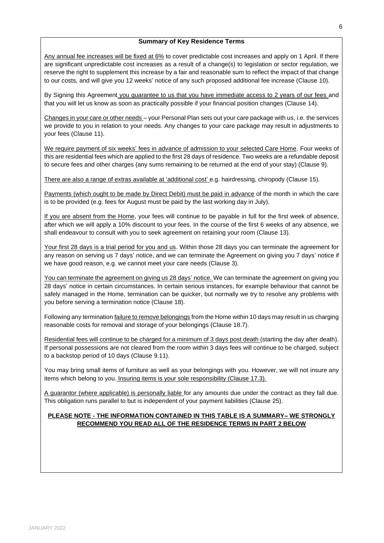## **Summary of Key Residence Terms**

Any annual fee increases will be fixed at 6% to cover predictable cost increases and apply on 1 April. If there are significant unpredictable cost increases as a result of a change(s) to legislation or sector regulation, we reserve the right to supplement this increase by a fair and reasonable sum to reflect the impact of that change to our costs, and will give you 12 weeks' notice of any such proposed additional fee increase (Clause [10\)](#page-17-0).

By Signing this Agreement you guarantee to us that you have immediate access to 2 years of our fees and that you will let us know as soon as practically possible if your financial position changes (Clause [14\)](#page-20-0).

Changes in your care or other needs – your Personal Plan sets out your care package with us, i.e. the services we provide to you in relation to your needs. Any changes to your care package may result in adjustments to your fees (Claus[e 11\)](#page-18-0).

We require payment of six weeks' fees in advance of admission to your selected Care Home. Four weeks of this are residential fees which are applied to the first 28 days of residence. Two weeks are a refundable deposit to secure fees and other charges (any sums remaining to be returned at the end of your stay) (Clause [9\)](#page-15-0).

There are also a range of extras available at 'additional cost' e.g. hairdressing, chiropody (Clause [15\)](#page-20-1).

Payments (which ought to be made by Direct Debit) must be paid in advance of the month in which the care is to be provided (e.g. fees for August must be paid by the last working day in July).

If you are absent from the Home, your fees will continue to be payable in full for the first week of absence, after which we will apply a 10% discount to your fees. In the course of the first 6 weeks of any absence, we shall endeavour to consult with you to seek agreement on retaining your room (Clause [13\)](#page-19-0).

Your first 28 days is a trial period for you and us. Within those 28 days you can terminate the agreement for any reason on serving us 7 days' notice, and we can terminate the Agreement on giving you 7 days' notice if we have good reason, e.g. we cannot meet your care needs (Clause [3\)](#page-10-0).

You can terminate the agreement on giving us 28 days' notice. We can terminate the agreement on giving you 28 days' notice in certain circumstances. In certain serious instances, for example behaviour that cannot be safely managed in the Home, termination can be quicker, but normally we try to resolve any problems with you before serving a termination notice (Clause [18\)](#page-22-0).

Following any termination failure to remove belongings from the Home within 10 days may result in us charging reasonable costs for removal and storage of your belongings (Claus[e 18.7\)](#page-24-0).

Residential fees will continue to be charged for a minimum of 3 days post death (starting the day after death). If personal possessions are not cleared from the room within 3 days fees will continue to be charged, subject to a backstop period of 10 days (Claus[e 9.11\)](#page-16-0).

You may bring small items of furniture as well as your belongings with you. However, we will not insure any items which belong to you. Insuring items is your sole responsibility (Clause [17.3\)](#page-22-1).

A guarantor (where applicable) is personally liable for any amounts due under the contract as they fall due. This obligation runs parallel to but is independent of your payment liabilities (Clause [25\)](#page-28-0).

# **PLEASE NOTE - THE INFORMATION CONTAINED IN THIS TABLE IS A SUMMARY– WE STRONGLY RECOMMEND YOU READ ALL OF THE RESIDENCE TERMS IN PART 2 BELOW**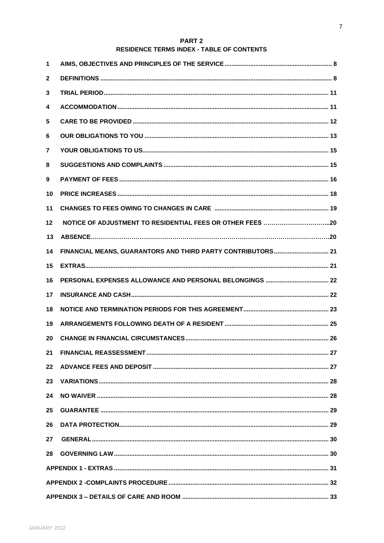# PART<sub>2</sub> RESIDENCE TERMS INDEX - TABLE OF CONTENTS

| 1  |                                                             |  |
|----|-------------------------------------------------------------|--|
| 2  |                                                             |  |
| 3  |                                                             |  |
| 4  |                                                             |  |
| 5  |                                                             |  |
| 6  |                                                             |  |
| 7  |                                                             |  |
| 8  |                                                             |  |
| 9  |                                                             |  |
| 10 |                                                             |  |
| 11 |                                                             |  |
| 12 |                                                             |  |
| 13 |                                                             |  |
| 14 | FINANCIAL MEANS, GUARANTORS AND THIRD PARTY CONTRIBUTORS 21 |  |
| 15 |                                                             |  |
| 16 |                                                             |  |
| 17 |                                                             |  |
| 18 |                                                             |  |
| 19 |                                                             |  |
| 20 |                                                             |  |
| 21 |                                                             |  |
| 22 |                                                             |  |
| 23 |                                                             |  |
| 24 |                                                             |  |
| 25 |                                                             |  |
| 26 |                                                             |  |
| 27 |                                                             |  |
| 28 |                                                             |  |
|    |                                                             |  |
|    |                                                             |  |
|    |                                                             |  |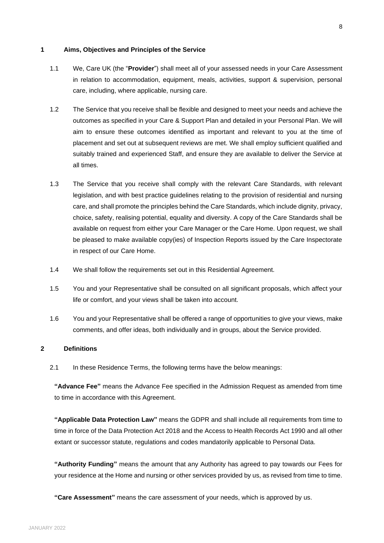#### **1 Aims, Objectives and Principles of the Service**

- 1.1 We, Care UK (the "**Provider**") shall meet all of your assessed needs in your Care Assessment in relation to accommodation, equipment, meals, activities, support & supervision, personal care, including, where applicable, nursing care.
- 1.2 The Service that you receive shall be flexible and designed to meet your needs and achieve the outcomes as specified in your Care & Support Plan and detailed in your Personal Plan. We will aim to ensure these outcomes identified as important and relevant to you at the time of placement and set out at subsequent reviews are met. We shall employ sufficient qualified and suitably trained and experienced Staff, and ensure they are available to deliver the Service at all times.
- 1.3 The Service that you receive shall comply with the relevant Care Standards, with relevant legislation, and with best practice guidelines relating to the provision of residential and nursing care, and shall promote the principles behind the Care Standards, which include dignity, privacy, choice, safety, realising potential, equality and diversity. A copy of the Care Standards shall be available on request from either your Care Manager or the Care Home. Upon request, we shall be pleased to make available copy(ies) of Inspection Reports issued by the Care Inspectorate in respect of our Care Home.
- 1.4 We shall follow the requirements set out in this Residential Agreement.
- 1.5 You and your Representative shall be consulted on all significant proposals, which affect your life or comfort, and your views shall be taken into account.
- 1.6 You and your Representative shall be offered a range of opportunities to give your views, make comments, and offer ideas, both individually and in groups, about the Service provided.

### **2 Definitions**

2.1 In these Residence Terms, the following terms have the below meanings:

**"Advance Fee"** means the Advance Fee specified in the Admission Request as amended from time to time in accordance with this Agreement.

**"Applicable Data Protection Law"** means the GDPR and shall include all requirements from time to time in force of the Data Protection Act 2018 and the Access to Health Records Act 1990 and all other extant or successor statute, regulations and codes mandatorily applicable to Personal Data.

**"Authority Funding"** means the amount that any Authority has agreed to pay towards our Fees for your residence at the Home and nursing or other services provided by us, as revised from time to time.

**"Care Assessment"** means the care assessment of your needs, which is approved by us.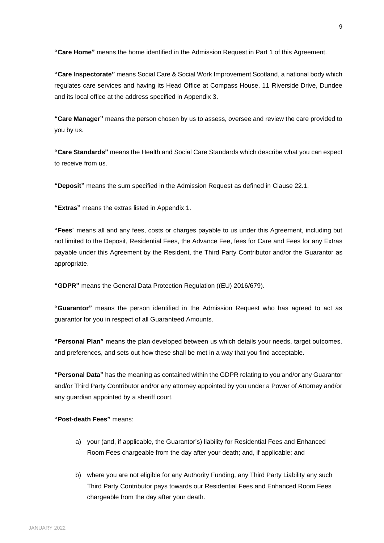**"Care Home"** means the home identified in the Admission Request in Part 1 of this Agreement.

**"Care Inspectorate"** means Social Care & Social Work Improvement Scotland, a national body which regulates care services and having its Head Office at Compass House, 11 Riverside Drive, Dundee and its local office at the address specified in Appendix 3.

**"Care Manager"** means the person chosen by us to assess, oversee and review the care provided to you by us.

**"Care Standards"** means the Health and Social Care Standards which describe what you can expect to receive from us.

**"Deposit"** means the sum specified in the Admission Request as defined in Claus[e 22.1.](#page-26-0)

**"Extras"** means the extras listed in Appendix 1.

**"Fees**" means all and any fees, costs or charges payable to us under this Agreement, including but not limited to the Deposit, Residential Fees, the Advance Fee, fees for Care and Fees for any Extras payable under this Agreement by the Resident, the Third Party Contributor and/or the Guarantor as appropriate.

**"GDPR"** means the General Data Protection Regulation ((EU) 2016/679).

**"Guarantor"** means the person identified in the Admission Request who has agreed to act as guarantor for you in respect of all Guaranteed Amounts.

**"Personal Plan"** means the plan developed between us which details your needs, target outcomes, and preferences, and sets out how these shall be met in a way that you find acceptable.

**"Personal Data"** has the meaning as contained within the GDPR relating to you and/or any Guarantor and/or Third Party Contributor and/or any attorney appointed by you under a Power of Attorney and/or any guardian appointed by a sheriff court.

**"Post-death Fees"** means:

- a) your (and, if applicable, the Guarantor's) liability for Residential Fees and Enhanced Room Fees chargeable from the day after your death; and, if applicable; and
- b) where you are not eligible for any Authority Funding, any Third Party Liability any such Third Party Contributor pays towards our Residential Fees and Enhanced Room Fees chargeable from the day after your death.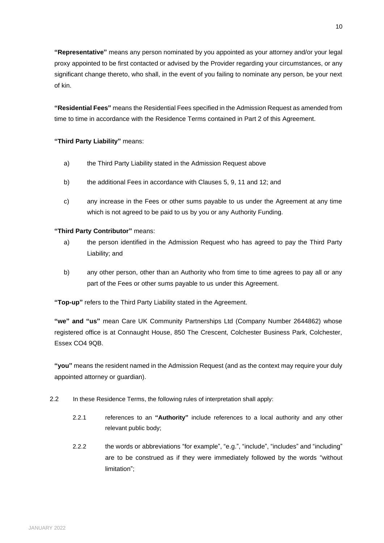**"Representative"** means any person nominated by you appointed as your attorney and/or your legal proxy appointed to be first contacted or advised by the Provider regarding your circumstances, or any significant change thereto, who shall, in the event of you failing to nominate any person, be your next of kin.

**"Residential Fees"** means the Residential Fees specified in the Admission Request as amended from time to time in accordance with the Residence Terms contained in Part 2 of this Agreement.

# **"Third Party Liability"** means:

- a) the Third Party Liability stated in the Admission Request above
- b) the additional Fees in accordance with Clauses [5,](#page-11-0) [9,](#page-15-0) [11](#page-18-0) and 12; and
- c) any increase in the Fees or other sums payable to us under the Agreement at any time which is not agreed to be paid to us by you or any Authority Funding.

# **"Third Party Contributor"** means:

- a) the person identified in the Admission Request who has agreed to pay the Third Party Liability; and
- b) any other person, other than an Authority who from time to time agrees to pay all or any part of the Fees or other sums payable to us under this Agreement.

**"Top-up"** refers to the Third Party Liability stated in the Agreement.

**"we" and "us"** mean Care UK Community Partnerships Ltd (Company Number 2644862) whose registered office is at Connaught House, 850 The Crescent, Colchester Business Park, Colchester, Essex CO4 9QB.

**"you"** means the resident named in the Admission Request (and as the context may require your duly appointed attorney or guardian).

- 2.2 In these Residence Terms, the following rules of interpretation shall apply:
	- 2.2.1 references to an **"Authority"** include references to a local authority and any other relevant public body;
	- 2.2.2 the words or abbreviations "for example", "e.g.", "include", "includes" and "including" are to be construed as if they were immediately followed by the words "without limitation";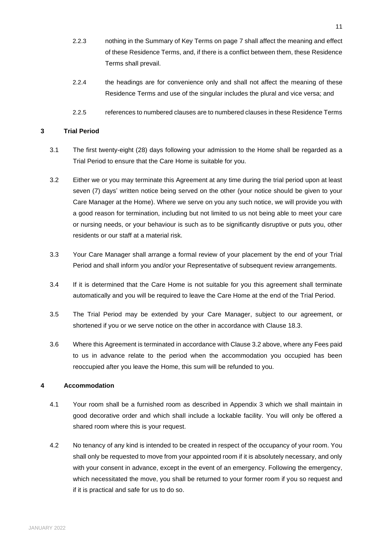- 2.2.3 nothing in the Summary of Key Terms on page 7 shall affect the meaning and effect of these Residence Terms, and, if there is a conflict between them, these Residence Terms shall prevail.
- 2.2.4 the headings are for convenience only and shall not affect the meaning of these Residence Terms and use of the singular includes the plural and vice versa; and
- 2.2.5 references to numbered clauses are to numbered clauses in these Residence Terms

# <span id="page-10-0"></span>**3 Trial Period**

- 3.1 The first twenty-eight (28) days following your admission to the Home shall be regarded as a Trial Period to ensure that the Care Home is suitable for you.
- <span id="page-10-1"></span>3.2 Either we or you may terminate this Agreement at any time during the trial period upon at least seven (7) days' written notice being served on the other (your notice should be given to your Care Manager at the Home). Where we serve on you any such notice, we will provide you with a good reason for termination, including but not limited to us not being able to meet your care or nursing needs, or your behaviour is such as to be significantly disruptive or puts you, other residents or our staff at a material risk.
- 3.3 Your Care Manager shall arrange a formal review of your placement by the end of your Trial Period and shall inform you and/or your Representative of subsequent review arrangements.
- 3.4 If it is determined that the Care Home is not suitable for you this agreement shall terminate automatically and you will be required to leave the Care Home at the end of the Trial Period.
- 3.5 The Trial Period may be extended by your Care Manager, subject to our agreement, or shortened if you or we serve notice on the other in accordance with Clause [18.3.](#page-22-2)
- 3.6 Where this Agreement is terminated in accordance with Clause [3.2](#page-10-1) above, where any Fees paid to us in advance relate to the period when the accommodation you occupied has been reoccupied after you leave the Home, this sum will be refunded to you.

# **4 Accommodation**

- 4.1 Your room shall be a furnished room as described in Appendix 3 which we shall maintain in good decorative order and which shall include a lockable facility. You will only be offered a shared room where this is your request.
- 4.2 No tenancy of any kind is intended to be created in respect of the occupancy of your room. You shall only be requested to move from your appointed room if it is absolutely necessary, and only with your consent in advance, except in the event of an emergency. Following the emergency, which necessitated the move, you shall be returned to your former room if you so request and if it is practical and safe for us to do so.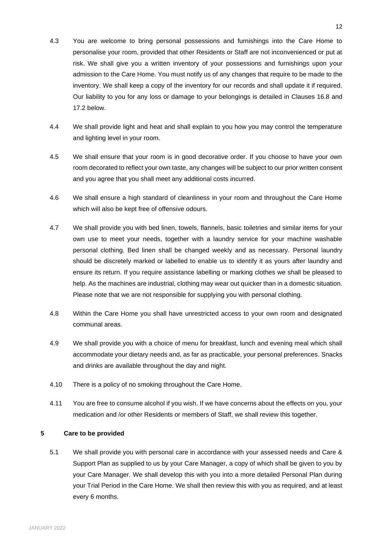- 4.3 You are welcome to bring personal possessions and furnishings into the Care Home to personalise your room, provided that other Residents or Staff are not inconvenienced or put at risk. We shall give you a written inventory of your possessions and furnishings upon your admission to the Care Home. You must notify us of any changes that require to be made to the inventory. We shall keep a copy of the inventory for our records and shall update it if required. Our liability to you for any loss or damage to your belongings is detailed in Clauses [16.8](#page-21-0) and [17.2](#page-21-1) below.
- 4.4 We shall provide light and heat and shall explain to you how you may control the temperature and lighting level in your room.
- 4.5 We shall ensure that your room is in good decorative order. If you choose to have your own room decorated to reflect your own taste, any changes will be subject to our prior written consent and you agree that you shall meet any additional costs incurred.
- 4.6 We shall ensure a high standard of cleanliness in your room and throughout the Care Home which will also be kept free of offensive odours.
- 4.7 We shall provide you with bed linen, towels, flannels, basic toiletries and similar items for your own use to meet your needs, together with a laundry service for your machine washable personal clothing. Bed linen shall be changed weekly and as necessary. Personal laundry should be discretely marked or labelled to enable us to identify it as yours after laundry and ensure its return. If you require assistance labelling or marking clothes we shall be pleased to help. As the machines are industrial, clothing may wear out quicker than in a domestic situation. Please note that we are not responsible for supplying you with personal clothing.
- 4.8 Within the Care Home you shall have unrestricted access to your own room and designated communal areas.
- 4.9 We shall provide you with a choice of menu for breakfast, lunch and evening meal which shall accommodate your dietary needs and, as far as practicable, your personal preferences. Snacks and drinks are available throughout the day and night.
- 4.10 There is a policy of no smoking throughout the Care Home.
- 4.11 You are free to consume alcohol if you wish. If we have concerns about the effects on you, your medication and /or other Residents or members of Staff, we shall review this together.

# <span id="page-11-0"></span>**5 Care to be provided**

5.1 We shall provide you with personal care in accordance with your assessed needs and Care & Support Plan as supplied to us by your Care Manager, a copy of which shall be given to you by your Care Manager. We shall develop this with you into a more detailed Personal Plan during your Trial Period in the Care Home. We shall then review this with you as required, and at least every 6 months.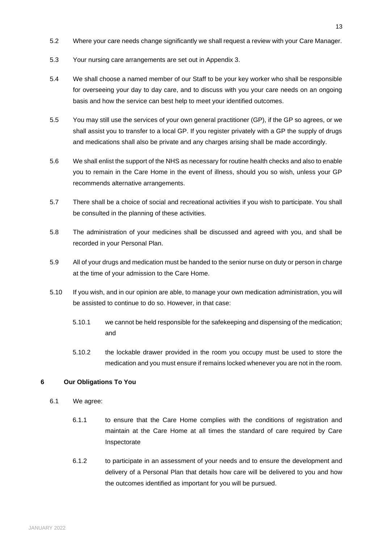- 5.2 Where your care needs change significantly we shall request a review with your Care Manager.
- 5.3 Your nursing care arrangements are set out in Appendix 3.
- 5.4 We shall choose a named member of our Staff to be your key worker who shall be responsible for overseeing your day to day care, and to discuss with you your care needs on an ongoing basis and how the service can best help to meet your identified outcomes.
- 5.5 You may still use the services of your own general practitioner (GP), if the GP so agrees, or we shall assist you to transfer to a local GP. If you register privately with a GP the supply of drugs and medications shall also be private and any charges arising shall be made accordingly.
- 5.6 We shall enlist the support of the NHS as necessary for routine health checks and also to enable you to remain in the Care Home in the event of illness, should you so wish, unless your GP recommends alternative arrangements.
- 5.7 There shall be a choice of social and recreational activities if you wish to participate. You shall be consulted in the planning of these activities.
- 5.8 The administration of your medicines shall be discussed and agreed with you, and shall be recorded in your Personal Plan.
- 5.9 All of your drugs and medication must be handed to the senior nurse on duty or person in charge at the time of your admission to the Care Home.
- 5.10 If you wish, and in our opinion are able, to manage your own medication administration, you will be assisted to continue to do so. However, in that case:
	- 5.10.1 we cannot be held responsible for the safekeeping and dispensing of the medication; and
	- 5.10.2 the lockable drawer provided in the room you occupy must be used to store the medication and you must ensure if remains locked whenever you are not in the room.

# **6 Our Obligations To You**

- 6.1 We agree:
	- 6.1.1 to ensure that the Care Home complies with the conditions of registration and maintain at the Care Home at all times the standard of care required by Care Inspectorate
	- 6.1.2 to participate in an assessment of your needs and to ensure the development and delivery of a Personal Plan that details how care will be delivered to you and how the outcomes identified as important for you will be pursued.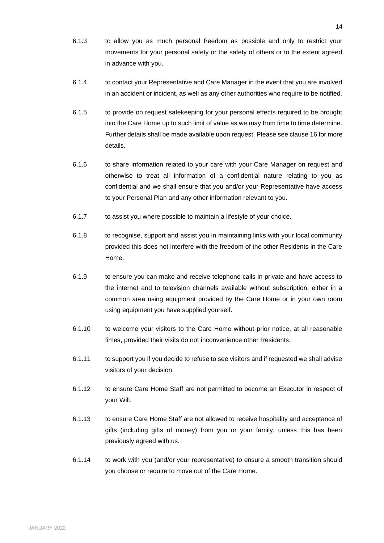- 6.1.3 to allow you as much personal freedom as possible and only to restrict your movements for your personal safety or the safety of others or to the extent agreed in advance with you.
- 6.1.4 to contact your Representative and Care Manager in the event that you are involved in an accident or incident, as well as any other authorities who require to be notified.
- 6.1.5 to provide on request safekeeping for your personal effects required to be brought into the Care Home up to such limit of value as we may from time to time determine. Further details shall be made available upon request. Please see claus[e 16](#page-21-2) for more details.
- 6.1.6 to share information related to your care with your Care Manager on request and otherwise to treat all information of a confidential nature relating to you as confidential and we shall ensure that you and/or your Representative have access to your Personal Plan and any other information relevant to you.
- 6.1.7 to assist you where possible to maintain a lifestyle of your choice.
- 6.1.8 to recognise, support and assist you in maintaining links with your local community provided this does not interfere with the freedom of the other Residents in the Care Home.
- 6.1.9 to ensure you can make and receive telephone calls in private and have access to the internet and to television channels available without subscription, either in a common area using equipment provided by the Care Home or in your own room using equipment you have supplied yourself.
- 6.1.10 to welcome your visitors to the Care Home without prior notice, at all reasonable times, provided their visits do not inconvenience other Residents.
- 6.1.11 to support you if you decide to refuse to see visitors and if requested we shall advise visitors of your decision.
- 6.1.12 to ensure Care Home Staff are not permitted to become an Executor in respect of your Will.
- 6.1.13 to ensure Care Home Staff are not allowed to receive hospitality and acceptance of gifts (including gifts of money) from you or your family, unless this has been previously agreed with us.
- 6.1.14 to work with you (and/or your representative) to ensure a smooth transition should you choose or require to move out of the Care Home.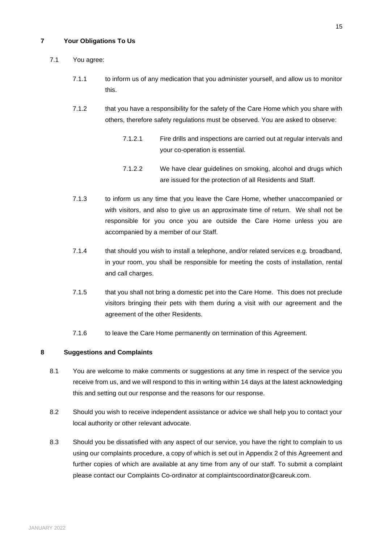# **7 Your Obligations To Us**

# 7.1 You agree:

- 7.1.1 to inform us of any medication that you administer yourself, and allow us to monitor this.
- 7.1.2 that you have a responsibility for the safety of the Care Home which you share with others, therefore safety regulations must be observed. You are asked to observe:
	- 7.1.2.1 Fire drills and inspections are carried out at regular intervals and your co-operation is essential.
	- 7.1.2.2 We have clear guidelines on smoking, alcohol and drugs which are issued for the protection of all Residents and Staff.
- 7.1.3 to inform us any time that you leave the Care Home, whether unaccompanied or with visitors, and also to give us an approximate time of return. We shall not be responsible for you once you are outside the Care Home unless you are accompanied by a member of our Staff.
- 7.1.4 that should you wish to install a telephone, and/or related services e.g. broadband, in your room, you shall be responsible for meeting the costs of installation, rental and call charges.
- 7.1.5 that you shall not bring a domestic pet into the Care Home. This does not preclude visitors bringing their pets with them during a visit with our agreement and the agreement of the other Residents.
- 7.1.6 to leave the Care Home permanently on termination of this Agreement.

# **8 Suggestions and Complaints**

- 8.1 You are welcome to make comments or suggestions at any time in respect of the service you receive from us, and we will respond to this in writing within 14 days at the latest acknowledging this and setting out our response and the reasons for our response.
- 8.2 Should you wish to receive independent assistance or advice we shall help you to contact your local authority or other relevant advocate.
- 8.3 Should you be dissatisfied with any aspect of our service, you have the right to complain to us using our complaints procedure, a copy of which is set out in Appendix 2 of this Agreement and further copies of which are available at any time from any of our staff. To submit a complaint please contact our Complaints Co-ordinator at complaintscoordinator@careuk.com.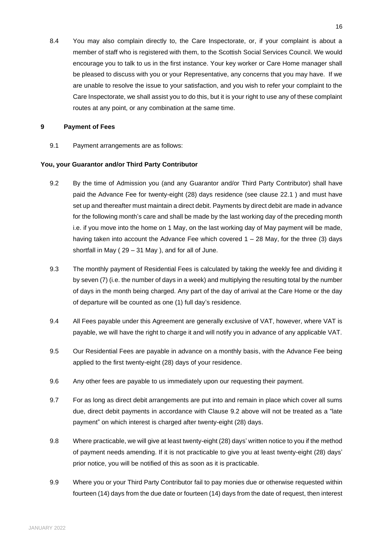8.4 You may also complain directly to, the Care Inspectorate, or, if your complaint is about a member of staff who is registered with them, to the Scottish Social Services Council. We would encourage you to talk to us in the first instance. Your key worker or Care Home manager shall be pleased to discuss with you or your Representative, any concerns that you may have. If we are unable to resolve the issue to your satisfaction, and you wish to refer your complaint to the Care Inspectorate, we shall assist you to do this, but it is your right to use any of these complaint routes at any point, or any combination at the same time.

## <span id="page-15-0"></span>**9 Payment of Fees**

9.1 Payment arrangements are as follows:

## **You, your Guarantor and/or Third Party Contributor**

- <span id="page-15-1"></span>9.2 By the time of Admission you (and any Guarantor and/or Third Party Contributor) shall have paid the Advance Fee for twenty-eight (28) days residence (see clause [22.1](#page-26-0) ) and must have set up and thereafter must maintain a direct debit. Payments by direct debit are made in advance for the following month's care and shall be made by the last working day of the preceding month i.e. if you move into the home on 1 May, on the last working day of May payment will be made, having taken into account the Advance Fee which covered 1 – 28 May, for the three (3) days shortfall in May ( 29 – 31 May ), and for all of June.
- 9.3 The monthly payment of Residential Fees is calculated by taking the weekly fee and dividing it by seven (7) (i.e. the number of days in a week) and multiplying the resulting total by the number of days in the month being charged. Any part of the day of arrival at the Care Home or the day of departure will be counted as one (1) full day's residence.
- 9.4 All Fees payable under this Agreement are generally exclusive of VAT, however, where VAT is payable, we will have the right to charge it and will notify you in advance of any applicable VAT.
- 9.5 Our Residential Fees are payable in advance on a monthly basis, with the Advance Fee being applied to the first twenty-eight (28) days of your residence.
- 9.6 Any other fees are payable to us immediately upon our requesting their payment.
- 9.7 For as long as direct debit arrangements are put into and remain in place which cover all sums due, direct debit payments in accordance with Clause [9.2](#page-15-1) above will not be treated as a "late payment" on which interest is charged after twenty-eight (28) days.
- 9.8 Where practicable, we will give at least twenty-eight (28) days' written notice to you if the method of payment needs amending. If it is not practicable to give you at least twenty-eight (28) days' prior notice, you will be notified of this as soon as it is practicable.
- 9.9 Where you or your Third Party Contributor fail to pay monies due or otherwise requested within fourteen (14) days from the due date or fourteen (14) days from the date of request, then interest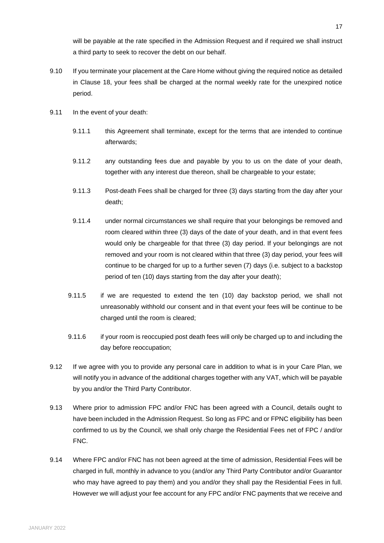will be payable at the rate specified in the Admission Request and if required we shall instruct a third party to seek to recover the debt on our behalf.

- 9.10 If you terminate your placement at the Care Home without giving the required notice as detailed in Clause [18,](#page-22-0) your fees shall be charged at the normal weekly rate for the unexpired notice period.
- <span id="page-16-2"></span><span id="page-16-1"></span><span id="page-16-0"></span>9.11 In the event of your death:
	- 9.11.1 this Agreement shall terminate, except for the terms that are intended to continue afterwards;
	- 9.11.2 any outstanding fees due and payable by you to us on the date of your death, together with any interest due thereon, shall be chargeable to your estate;
	- 9.11.3 Post-death Fees shall be charged for three (3) days starting from the day after your death;
	- 9.11.4 under normal circumstances we shall require that your belongings be removed and room cleared within three (3) days of the date of your death, and in that event fees would only be chargeable for that three (3) day period. If your belongings are not removed and your room is not cleared within that three (3) day period, your fees will continue to be charged for up to a further seven (7) days (i.e. subject to a backstop period of ten (10) days starting from the day after your death);
	- 9.11.5 if we are requested to extend the ten (10) day backstop period, we shall not unreasonably withhold our consent and in that event your fees will be continue to be charged until the room is cleared;
	- 9.11.6 if your room is reoccupied post death fees will only be charged up to and including the day before reoccupation;
- <span id="page-16-3"></span>9.12 If we agree with you to provide any personal care in addition to what is in your Care Plan, we will notify you in advance of the additional charges together with any VAT, which will be payable by you and/or the Third Party Contributor.
- 9.13 Where prior to admission FPC and/or FNC has been agreed with a Council, details ought to have been included in the Admission Request. So long as FPC and or FPNC eligibility has been confirmed to us by the Council, we shall only charge the Residential Fees net of FPC / and/or FNC.
- 9.14 Where FPC and/or FNC has not been agreed at the time of admission, Residential Fees will be charged in full, monthly in advance to you (and/or any Third Party Contributor and/or Guarantor who may have agreed to pay them) and you and/or they shall pay the Residential Fees in full. However we will adjust your fee account for any FPC and/or FNC payments that we receive and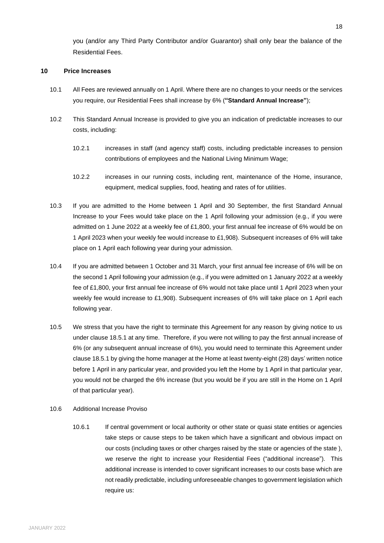you (and/or any Third Party Contributor and/or Guarantor) shall only bear the balance of the Residential Fees.

# <span id="page-17-0"></span>**10 Price Increases**

- 10.1 All Fees are reviewed annually on 1 April. Where there are no changes to your needs or the services you require, our Residential Fees shall increase by 6% (**"Standard Annual Increase"**);
- 10.2 This Standard Annual Increase is provided to give you an indication of predictable increases to our costs, including:
	- 10.2.1 increases in staff (and agency staff) costs, including predictable increases to pension contributions of employees and the National Living Minimum Wage;
	- 10.2.2 increases in our running costs, including rent, maintenance of the Home, insurance, equipment, medical supplies, food, heating and rates of for utilities.
- 10.3 If you are admitted to the Home between 1 April and 30 September, the first Standard Annual Increase to your Fees would take place on the 1 April following your admission (e.g., if you were admitted on 1 June 2022 at a weekly fee of £1,800, your first annual fee increase of 6% would be on 1 April 2023 when your weekly fee would increase to £1,908). Subsequent increases of 6% will take place on 1 April each following year during your admission.
- 10.4 If you are admitted between 1 October and 31 March, your first annual fee increase of 6% will be on the second 1 April following your admission (e.g., if you were admitted on 1 January 2022 at a weekly fee of £1,800, your first annual fee increase of 6% would not take place until 1 April 2023 when your weekly fee would increase to £1,908). Subsequent increases of 6% will take place on 1 April each following year.
- 10.5 We stress that you have the right to terminate this Agreement for any reason by giving notice to us under clause [18.5.1](#page-22-3) at any time. Therefore, if you were not willing to pay the first annual increase of 6% (or any subsequent annual increase of 6%), you would need to terminate this Agreement under clause [18.5.1](#page-22-3) by giving the home manager at the Home at least twenty-eight (28) days' written notice before 1 April in any particular year, and provided you left the Home by 1 April in that particular year, you would not be charged the 6% increase (but you would be if you are still in the Home on 1 April of that particular year).
- 10.6 Additional Increase Proviso
	- 10.6.1 If central government or local authority or other state or quasi state entities or agencies take steps or cause steps to be taken which have a significant and obvious impact on our costs (including taxes or other charges raised by the state or agencies of the state ), we reserve the right to increase your Residential Fees ("additional increase"). This additional increase is intended to cover significant increases to our costs base which are not readily predictable, including unforeseeable changes to government legislation which require us: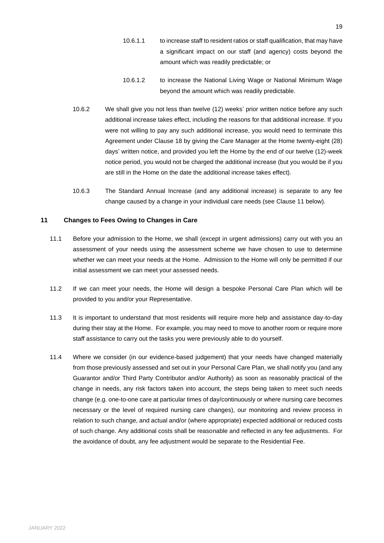- 10.6.1.1 to increase staff to resident ratios or staff qualification, that may have a significant impact on our staff (and agency) costs beyond the amount which was readily predictable; or
- 10.6.1.2 to increase the National Living Wage or National Minimum Wage beyond the amount which was readily predictable.
- 10.6.2 We shall give you not less than twelve (12) weeks' prior written notice before any such additional increase takes effect, including the reasons for that additional increase. If you were not willing to pay any such additional increase, you would need to terminate this Agreement under Claus[e 18](#page-22-0) by giving the Care Manager at the Home twenty-eight (28) days' written notice, and provided you left the Home by the end of our twelve (12)-week notice period, you would not be charged the additional increase (but you would be if you are still in the Home on the date the additional increase takes effect).
- 10.6.3 The Standard Annual Increase (and any additional increase) is separate to any fee change caused by a change in your individual care needs (see Clause [11](#page-18-0) below).

## <span id="page-18-0"></span>**11 Changes to Fees Owing to Changes in Care**

- 11.1 Before your admission to the Home, we shall (except in urgent admissions) carry out with you an assessment of your needs using the assessment scheme we have chosen to use to determine whether we can meet your needs at the Home. Admission to the Home will only be permitted if our initial assessment we can meet your assessed needs.
- 11.2 If we can meet your needs, the Home will design a bespoke Personal Care Plan which will be provided to you and/or your Representative.
- 11.3 It is important to understand that most residents will require more help and assistance day-to-day during their stay at the Home. For example, you may need to move to another room or require more staff assistance to carry out the tasks you were previously able to do yourself.
- 11.4 Where we consider (in our evidence-based judgement) that your needs have changed materially from those previously assessed and set out in your Personal Care Plan, we shall notify you (and any Guarantor and/or Third Party Contributor and/or Authority) as soon as reasonably practical of the change in needs, any risk factors taken into account, the steps being taken to meet such needs change (e.g. one-to-one care at particular times of day/continuously or where nursing care becomes necessary or the level of required nursing care changes), our monitoring and review process in relation to such change, and actual and/or (where appropriate) expected additional or reduced costs of such change. Any additional costs shall be reasonable and reflected in any fee adjustments. For the avoidance of doubt, any fee adjustment would be separate to the Residential Fee.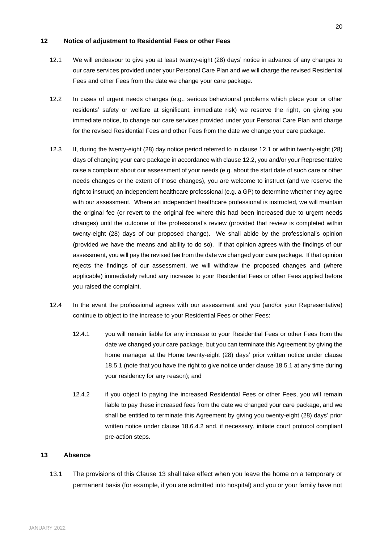## **12 Notice of adjustment to Residential Fees or other Fees**

- <span id="page-19-1"></span>12.1 We will endeavour to give you at least twenty-eight (28) days' notice in advance of any changes to our care services provided under your Personal Care Plan and we will charge the revised Residential Fees and other Fees from the date we change your care package.
- <span id="page-19-2"></span>12.2 In cases of urgent needs changes (e.g., serious behavioural problems which place your or other residents' safety or welfare at significant, immediate risk) we reserve the right, on giving you immediate notice, to change our care services provided under your Personal Care Plan and charge for the revised Residential Fees and other Fees from the date we change your care package.
- 12.3 If, during the twenty-eight (28) day notice period referred to in claus[e 12.1](#page-19-1) or within twenty-eight (28) days of changing your care package in accordance with clause [12.2,](#page-19-2) you and/or your Representative raise a complaint about our assessment of your needs (e.g. about the start date of such care or other needs changes or the extent of those changes), you are welcome to instruct (and we reserve the right to instruct) an independent healthcare professional (e.g. a GP) to determine whether they agree with our assessment. Where an independent healthcare professional is instructed, we will maintain the original fee (or revert to the original fee where this had been increased due to urgent needs changes) until the outcome of the professional's review (provided that review is completed within twenty-eight (28) days of our proposed change). We shall abide by the professional's opinion (provided we have the means and ability to do so). If that opinion agrees with the findings of our assessment, you will pay the revised fee from the date we changed your care package. If that opinion rejects the findings of our assessment, we will withdraw the proposed changes and (where applicable) immediately refund any increase to your Residential Fees or other Fees applied before you raised the complaint.
- 12.4 In the event the professional agrees with our assessment and you (and/or your Representative) continue to object to the increase to your Residential Fees or other Fees:
	- 12.4.1 you will remain liable for any increase to your Residential Fees or other Fees from the date we changed your care package, but you can terminate this Agreement by giving the home manager at the Home twenty-eight (28) days' prior written notice under clause [18.5.1](#page-22-3) (note that you have the right to give notice under clause [18.5.1](#page-22-3) at any time during your residency for any reason); and
	- 12.4.2 if you object to paying the increased Residential Fees or other Fees, you will remain liable to pay these increased fees from the date we changed your care package, and we shall be entitled to terminate this Agreement by giving you twenty-eight (28) days' prior written notice under clause [18.6.4.2](#page-23-0) and, if necessary, initiate court protocol compliant pre-action steps.

## <span id="page-19-0"></span>**13 Absence**

<span id="page-19-3"></span>13.1 The provisions of this Clause [13](#page-19-0) shall take effect when you leave the home on a temporary or permanent basis (for example, if you are admitted into hospital) and you or your family have not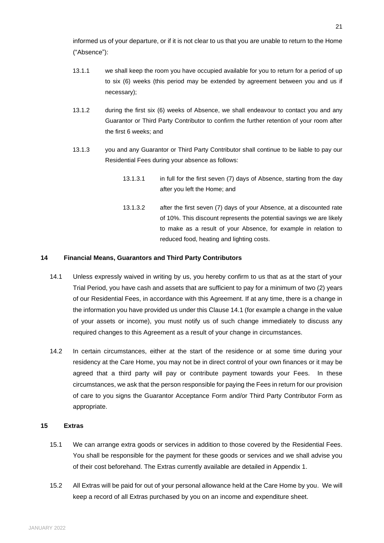informed us of your departure, or if it is not clear to us that you are unable to return to the Home ("Absence"):

- 13.1.1 we shall keep the room you have occupied available for you to return for a period of up to six (6) weeks (this period may be extended by agreement between you and us if necessary);
- 13.1.2 during the first six (6) weeks of Absence, we shall endeavour to contact you and any Guarantor or Third Party Contributor to confirm the further retention of your room after the first 6 weeks; and
- 13.1.3 you and any Guarantor or Third Party Contributor shall continue to be liable to pay our Residential Fees during your absence as follows:
	- 13.1.3.1 in full for the first seven (7) days of Absence, starting from the day after you left the Home; and
	- 13.1.3.2 after the first seven (7) days of your Absence, at a discounted rate of 10%. This discount represents the potential savings we are likely to make as a result of your Absence, for example in relation to reduced food, heating and lighting costs.

## <span id="page-20-0"></span>**14 Financial Means, Guarantors and Third Party Contributors**

- <span id="page-20-2"></span>14.1 Unless expressly waived in writing by us, you hereby confirm to us that as at the start of your Trial Period, you have cash and assets that are sufficient to pay for a minimum of two (2) years of our Residential Fees, in accordance with this Agreement. If at any time, there is a change in the information you have provided us under this Claus[e 14.1](#page-20-2) (for example a change in the value of your assets or income), you must notify us of such change immediately to discuss any required changes to this Agreement as a result of your change in circumstances.
- 14.2 In certain circumstances, either at the start of the residence or at some time during your residency at the Care Home, you may not be in direct control of your own finances or it may be agreed that a third party will pay or contribute payment towards your Fees. In these circumstances, we ask that the person responsible for paying the Fees in return for our provision of care to you signs the Guarantor Acceptance Form and/or Third Party Contributor Form as appropriate.

#### <span id="page-20-1"></span>**15 Extras**

- 15.1 We can arrange extra goods or services in addition to those covered by the Residential Fees. You shall be responsible for the payment for these goods or services and we shall advise you of their cost beforehand. The Extras currently available are detailed in Appendix 1.
- 15.2 All Extras will be paid for out of your personal allowance held at the Care Home by you. We will keep a record of all Extras purchased by you on an income and expenditure sheet.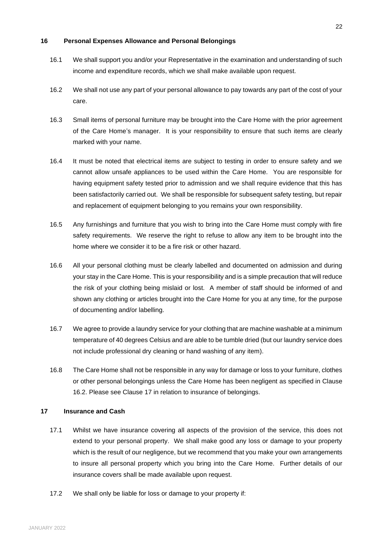## <span id="page-21-2"></span>**16 Personal Expenses Allowance and Personal Belongings**

- 16.1 We shall support you and/or your Representative in the examination and understanding of such income and expenditure records, which we shall make available upon request.
- 16.2 We shall not use any part of your personal allowance to pay towards any part of the cost of your care.
- 16.3 Small items of personal furniture may be brought into the Care Home with the prior agreement of the Care Home's manager. It is your responsibility to ensure that such items are clearly marked with your name.
- 16.4 It must be noted that electrical items are subject to testing in order to ensure safety and we cannot allow unsafe appliances to be used within the Care Home. You are responsible for having equipment safety tested prior to admission and we shall require evidence that this has been satisfactorily carried out. We shall be responsible for subsequent safety testing, but repair and replacement of equipment belonging to you remains your own responsibility.
- 16.5 Any furnishings and furniture that you wish to bring into the Care Home must comply with fire safety requirements. We reserve the right to refuse to allow any item to be brought into the home where we consider it to be a fire risk or other hazard.
- 16.6 All your personal clothing must be clearly labelled and documented on admission and during your stay in the Care Home. This is your responsibility and is a simple precaution that will reduce the risk of your clothing being mislaid or lost. A member of staff should be informed of and shown any clothing or articles brought into the Care Home for you at any time, for the purpose of documenting and/or labelling.
- 16.7 We agree to provide a laundry service for your clothing that are machine washable at a minimum temperature of 40 degrees Celsius and are able to be tumble dried (but our laundry service does not include professional dry cleaning or hand washing of any item).
- <span id="page-21-0"></span>16.8 The Care Home shall not be responsible in any way for damage or loss to your furniture, clothes or other personal belongings unless the Care Home has been negligent as specified in Clause 16.2. Please see Clause [17](#page-21-3) in relation to insurance of belongings.

# <span id="page-21-3"></span>**17 Insurance and Cash**

- 17.1 Whilst we have insurance covering all aspects of the provision of the service, this does not extend to your personal property. We shall make good any loss or damage to your property which is the result of our negligence, but we recommend that you make your own arrangements to insure all personal property which you bring into the Care Home. Further details of our insurance covers shall be made available upon request.
- <span id="page-21-1"></span>17.2 We shall only be liable for loss or damage to your property if: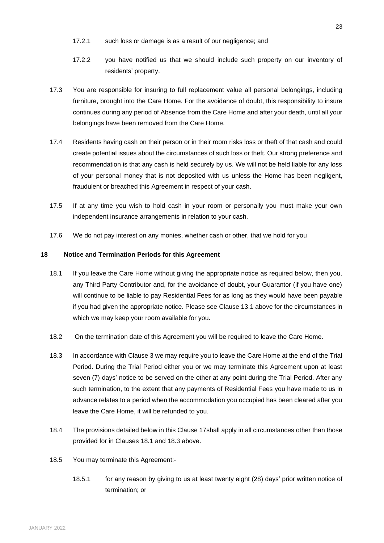- 17.2.1 such loss or damage is as a result of our negligence; and
- 17.2.2 you have notified us that we should include such property on our inventory of residents' property.
- <span id="page-22-1"></span>17.3 You are responsible for insuring to full replacement value all personal belongings, including furniture, brought into the Care Home. For the avoidance of doubt, this responsibility to insure continues during any period of Absence from the Care Home and after your death, until all your belongings have been removed from the Care Home.
- 17.4 Residents having cash on their person or in their room risks loss or theft of that cash and could create potential issues about the circumstances of such loss or theft. Our strong preference and recommendation is that any cash is held securely by us. We will not be held liable for any loss of your personal money that is not deposited with us unless the Home has been negligent, fraudulent or breached this Agreement in respect of your cash.
- 17.5 If at any time you wish to hold cash in your room or personally you must make your own independent insurance arrangements in relation to your cash.
- 17.6 We do not pay interest on any monies, whether cash or other, that we hold for you

## <span id="page-22-0"></span>**18 Notice and Termination Periods for this Agreement**

- <span id="page-22-4"></span>18.1 If you leave the Care Home without giving the appropriate notice as required below, then you, any Third Party Contributor and, for the avoidance of doubt, your Guarantor (if you have one) will continue to be liable to pay Residential Fees for as long as they would have been payable if you had given the appropriate notice. Please see Clause [13.1](#page-19-3) above for the circumstances in which we may keep your room available for you.
- 18.2 On the termination date of this Agreement you will be required to leave the Care Home.
- <span id="page-22-2"></span>18.3 In accordance with Clause [3](#page-10-0) we may require you to leave the Care Home at the end of the Trial Period. During the Trial Period either you or we may terminate this Agreement upon at least seven (7) days' notice to be served on the other at any point during the Trial Period. After any such termination, to the extent that any payments of Residential Fees you have made to us in advance relates to a period when the accommodation you occupied has been cleared after you leave the Care Home, it will be refunded to you.
- 18.4 The provisions detailed below in this Clause 17shall apply in all circumstances other than those provided for in Clauses [18.1](#page-22-4) and [18.3](#page-22-2) above.
- <span id="page-22-3"></span>18.5 You may terminate this Agreement:-
	- 18.5.1 for any reason by giving to us at least twenty eight (28) days' prior written notice of termination; or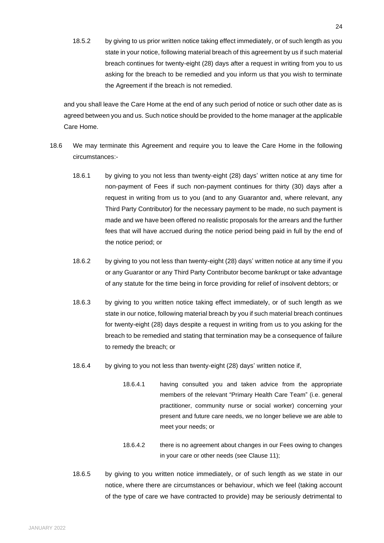18.5.2 by giving to us prior written notice taking effect immediately, or of such length as you state in your notice, following material breach of this agreement by us if such material breach continues for twenty-eight (28) days after a request in writing from you to us asking for the breach to be remedied and you inform us that you wish to terminate the Agreement if the breach is not remedied.

and you shall leave the Care Home at the end of any such period of notice or such other date as is agreed between you and us. Such notice should be provided to the home manager at the applicable Care Home.

- <span id="page-23-0"></span>18.6 We may terminate this Agreement and require you to leave the Care Home in the following circumstances:-
	- 18.6.1 by giving to you not less than twenty-eight (28) days' written notice at any time for non-payment of Fees if such non-payment continues for thirty (30) days after a request in writing from us to you (and to any Guarantor and, where relevant, any Third Party Contributor) for the necessary payment to be made, no such payment is made and we have been offered no realistic proposals for the arrears and the further fees that will have accrued during the notice period being paid in full by the end of the notice period; or
	- 18.6.2 by giving to you not less than twenty-eight (28) days' written notice at any time if you or any Guarantor or any Third Party Contributor become bankrupt or take advantage of any statute for the time being in force providing for relief of insolvent debtors; or
	- 18.6.3 by giving to you written notice taking effect immediately, or of such length as we state in our notice, following material breach by you if such material breach continues for twenty-eight (28) days despite a request in writing from us to you asking for the breach to be remedied and stating that termination may be a consequence of failure to remedy the breach; or
	- 18.6.4 by giving to you not less than twenty-eight (28) days' written notice if,
		- 18.6.4.1 having consulted you and taken advice from the appropriate members of the relevant "Primary Health Care Team" (i.e. general practitioner, community nurse or social worker) concerning your present and future care needs, we no longer believe we are able to meet your needs; or
		- 18.6.4.2 there is no agreement about changes in our Fees owing to changes in your care or other needs (see Claus[e 11\)](#page-18-0);
	- 18.6.5 by giving to you written notice immediately, or of such length as we state in our notice, where there are circumstances or behaviour, which we feel (taking account of the type of care we have contracted to provide) may be seriously detrimental to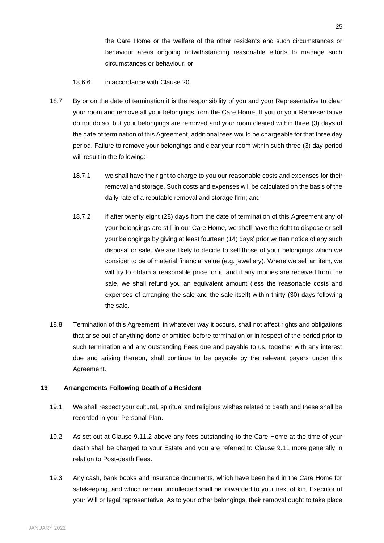the Care Home or the welfare of the other residents and such circumstances or behaviour are/is ongoing notwithstanding reasonable efforts to manage such circumstances or behaviour; or

18.6.6 in accordance with Clause [20.](#page-25-0)

- <span id="page-24-0"></span>18.7 By or on the date of termination it is the responsibility of you and your Representative to clear your room and remove all your belongings from the Care Home. If you or your Representative do not do so, but your belongings are removed and your room cleared within three (3) days of the date of termination of this Agreement, additional fees would be chargeable for that three day period. Failure to remove your belongings and clear your room within such three (3) day period will result in the following:
	- 18.7.1 we shall have the right to charge to you our reasonable costs and expenses for their removal and storage. Such costs and expenses will be calculated on the basis of the daily rate of a reputable removal and storage firm; and
	- 18.7.2 if after twenty eight (28) days from the date of termination of this Agreement any of your belongings are still in our Care Home, we shall have the right to dispose or sell your belongings by giving at least fourteen (14) days' prior written notice of any such disposal or sale. We are likely to decide to sell those of your belongings which we consider to be of material financial value (e.g. jewellery). Where we sell an item, we will try to obtain a reasonable price for it, and if any monies are received from the sale, we shall refund you an equivalent amount (less the reasonable costs and expenses of arranging the sale and the sale itself) within thirty (30) days following the sale.
- 18.8 Termination of this Agreement, in whatever way it occurs, shall not affect rights and obligations that arise out of anything done or omitted before termination or in respect of the period prior to such termination and any outstanding Fees due and payable to us, together with any interest due and arising thereon, shall continue to be payable by the relevant payers under this Agreement.

# **19 Arrangements Following Death of a Resident**

- 19.1 We shall respect your cultural, spiritual and religious wishes related to death and these shall be recorded in your Personal Plan.
- <span id="page-24-1"></span>19.2 As set out at Clause [9.11.2](#page-16-1) above any fees outstanding to the Care Home at the time of your death shall be charged to your Estate and you are referred to Clause [9.11](#page-16-0) more generally in relation to Post-death Fees.
- 19.3 Any cash, bank books and insurance documents, which have been held in the Care Home for safekeeping, and which remain uncollected shall be forwarded to your next of kin, Executor of your Will or legal representative. As to your other belongings, their removal ought to take place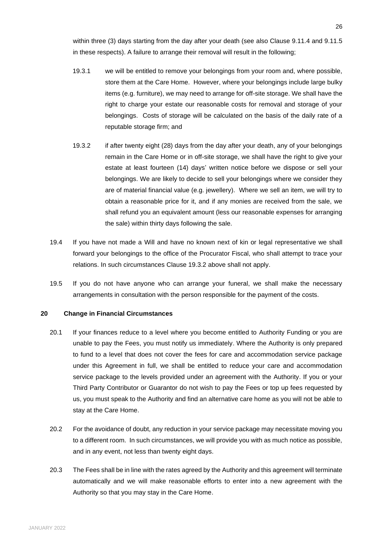within three (3) days starting from the day after your death (see also Clause [9.11.4](#page-16-2) and [9.11.5](#page-16-3) in these respects). A failure to arrange their removal will result in the following;

- 19.3.1 we will be entitled to remove your belongings from your room and, where possible, store them at the Care Home. However, where your belongings include large bulky items (e.g. furniture), we may need to arrange for off-site storage. We shall have the right to charge your estate our reasonable costs for removal and storage of your belongings. Costs of storage will be calculated on the basis of the daily rate of a reputable storage firm; and
- <span id="page-25-1"></span>19.3.2 if after twenty eight (28) days from the day after your death, any of your belongings remain in the Care Home or in off-site storage, we shall have the right to give your estate at least fourteen (14) days' written notice before we dispose or sell your belongings. We are likely to decide to sell your belongings where we consider they are of material financial value (e.g. jewellery). Where we sell an item, we will try to obtain a reasonable price for it, and if any monies are received from the sale, we shall refund you an equivalent amount (less our reasonable expenses for arranging the sale) within thirty days following the sale.
- 19.4 If you have not made a Will and have no known next of kin or legal representative we shall forward your belongings to the office of the Procurator Fiscal, who shall attempt to trace your relations. In such circumstances Clause [19.3.2](#page-25-1) above shall not apply.
- 19.5 If you do not have anyone who can arrange your funeral, we shall make the necessary arrangements in consultation with the person responsible for the payment of the costs.

# <span id="page-25-0"></span>**20 Change in Financial Circumstances**

- 20.1 If your finances reduce to a level where you become entitled to Authority Funding or you are unable to pay the Fees, you must notify us immediately. Where the Authority is only prepared to fund to a level that does not cover the fees for care and accommodation service package under this Agreement in full, we shall be entitled to reduce your care and accommodation service package to the levels provided under an agreement with the Authority. If you or your Third Party Contributor or Guarantor do not wish to pay the Fees or top up fees requested by us, you must speak to the Authority and find an alternative care home as you will not be able to stay at the Care Home.
- 20.2 For the avoidance of doubt, any reduction in your service package may necessitate moving you to a different room. In such circumstances, we will provide you with as much notice as possible, and in any event, not less than twenty eight days.
- 20.3 The Fees shall be in line with the rates agreed by the Authority and this agreement will terminate automatically and we will make reasonable efforts to enter into a new agreement with the Authority so that you may stay in the Care Home.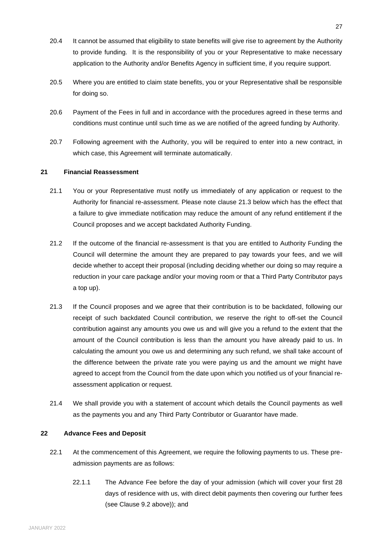- 20.4 It cannot be assumed that eligibility to state benefits will give rise to agreement by the Authority to provide funding. It is the responsibility of you or your Representative to make necessary application to the Authority and/or Benefits Agency in sufficient time, if you require support.
- 20.5 Where you are entitled to claim state benefits, you or your Representative shall be responsible for doing so.
- 20.6 Payment of the Fees in full and in accordance with the procedures agreed in these terms and conditions must continue until such time as we are notified of the agreed funding by Authority.
- 20.7 Following agreement with the Authority, you will be required to enter into a new contract, in which case, this Agreement will terminate automatically.

## **21 Financial Reassessment**

- 21.1 You or your Representative must notify us immediately of any application or request to the Authority for financial re-assessment. Please note clause 21.3 below which has the effect that a failure to give immediate notification may reduce the amount of any refund entitlement if the Council proposes and we accept backdated Authority Funding.
- 21.2 If the outcome of the financial re-assessment is that you are entitled to Authority Funding the Council will determine the amount they are prepared to pay towards your fees, and we will decide whether to accept their proposal (including deciding whether our doing so may require a reduction in your care package and/or your moving room or that a Third Party Contributor pays a top up).
- 21.3 If the Council proposes and we agree that their contribution is to be backdated, following our receipt of such backdated Council contribution, we reserve the right to off-set the Council contribution against any amounts you owe us and will give you a refund to the extent that the amount of the Council contribution is less than the amount you have already paid to us. In calculating the amount you owe us and determining any such refund, we shall take account of the difference between the private rate you were paying us and the amount we might have agreed to accept from the Council from the date upon which you notified us of your financial reassessment application or request.
- 21.4 We shall provide you with a statement of account which details the Council payments as well as the payments you and any Third Party Contributor or Guarantor have made.

## **22 Advance Fees and Deposit**

- <span id="page-26-0"></span>22.1 At the commencement of this Agreement, we require the following payments to us. These preadmission payments are as follows:
	- 22.1.1 The Advance Fee before the day of your admission (which will cover your first 28 days of residence with us, with direct debit payments then covering our further fees (see Clause [9.2](#page-15-1) above)); and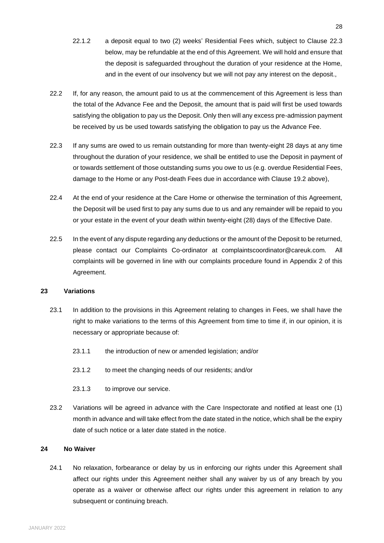- 22.1.2 a deposit equal to two (2) weeks' Residential Fees which, subject to Clause [22.3](#page-27-0) below, may be refundable at the end of this Agreement. We will hold and ensure that the deposit is safeguarded throughout the duration of your residence at the Home, and in the event of our insolvency but we will not pay any interest on the deposit.,
- 22.2 If, for any reason, the amount paid to us at the commencement of this Agreement is less than the total of the Advance Fee and the Deposit, the amount that is paid will first be used towards satisfying the obligation to pay us the Deposit. Only then will any excess pre-admission payment be received by us be used towards satisfying the obligation to pay us the Advance Fee.
- <span id="page-27-0"></span>22.3 If any sums are owed to us remain outstanding for more than twenty-eight 28 days at any time throughout the duration of your residence, we shall be entitled to use the Deposit in payment of or towards settlement of those outstanding sums you owe to us (e.g. overdue Residential Fees, damage to the Home or any Post-death Fees due in accordance with Clause [19.2](#page-24-1) above),
- 22.4 At the end of your residence at the Care Home or otherwise the termination of this Agreement, the Deposit will be used first to pay any sums due to us and any remainder will be repaid to you or your estate in the event of your death within twenty-eight (28) days of the Effective Date.
- 22.5 In the event of any dispute regarding any deductions or the amount of the Deposit to be returned, please contact our Complaints Co-ordinator at complaintscoordinator@careuk.com. All complaints will be governed in line with our complaints procedure found in Appendix 2 of this Agreement.

#### **23 Variations**

- 23.1 In addition to the provisions in this Agreement relating to changes in Fees, we shall have the right to make variations to the terms of this Agreement from time to time if, in our opinion, it is necessary or appropriate because of:
	- 23.1.1 the introduction of new or amended legislation; and/or
	- 23.1.2 to meet the changing needs of our residents; and/or
	- 23.1.3 to improve our service.
- 23.2 Variations will be agreed in advance with the Care Inspectorate and notified at least one (1) month in advance and will take effect from the date stated in the notice, which shall be the expiry date of such notice or a later date stated in the notice.

# **24 No Waiver**

24.1 No relaxation, forbearance or delay by us in enforcing our rights under this Agreement shall affect our rights under this Agreement neither shall any waiver by us of any breach by you operate as a waiver or otherwise affect our rights under this agreement in relation to any subsequent or continuing breach.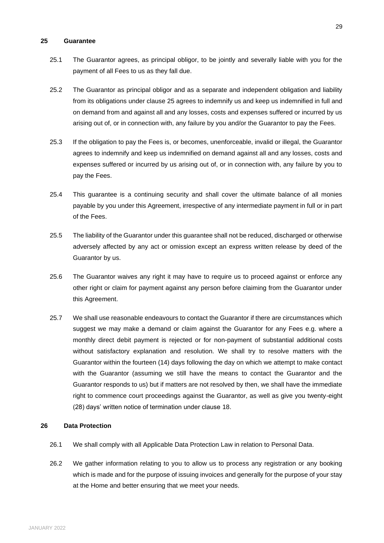# <span id="page-28-0"></span>**25 Guarantee**

- 25.1 The Guarantor agrees, as principal obligor, to be jointly and severally liable with you for the payment of all Fees to us as they fall due.
- 25.2 The Guarantor as principal obligor and as a separate and independent obligation and liability from its obligations under clause [25](#page-28-0) agrees to indemnify us and keep us indemnified in full and on demand from and against all and any losses, costs and expenses suffered or incurred by us arising out of, or in connection with, any failure by you and/or the Guarantor to pay the Fees.
- 25.3 If the obligation to pay the Fees is, or becomes, unenforceable, invalid or illegal, the Guarantor agrees to indemnify and keep us indemnified on demand against all and any losses, costs and expenses suffered or incurred by us arising out of, or in connection with, any failure by you to pay the Fees.
- 25.4 This guarantee is a continuing security and shall cover the ultimate balance of all monies payable by you under this Agreement, irrespective of any intermediate payment in full or in part of the Fees.
- 25.5 The liability of the Guarantor under this guarantee shall not be reduced, discharged or otherwise adversely affected by any act or omission except an express written release by deed of the Guarantor by us.
- 25.6 The Guarantor waives any right it may have to require us to proceed against or enforce any other right or claim for payment against any person before claiming from the Guarantor under this Agreement.
- 25.7 We shall use reasonable endeavours to contact the Guarantor if there are circumstances which suggest we may make a demand or claim against the Guarantor for any Fees e.g. where a monthly direct debit payment is rejected or for non-payment of substantial additional costs without satisfactory explanation and resolution. We shall try to resolve matters with the Guarantor within the fourteen (14) days following the day on which we attempt to make contact with the Guarantor (assuming we still have the means to contact the Guarantor and the Guarantor responds to us) but if matters are not resolved by then, we shall have the immediate right to commence court proceedings against the Guarantor, as well as give you twenty-eight (28) days' written notice of termination under clause [18.](#page-22-0)

#### **26 Data Protection**

- 26.1 We shall comply with all Applicable Data Protection Law in relation to Personal Data.
- 26.2 We gather information relating to you to allow us to process any registration or any booking which is made and for the purpose of issuing invoices and generally for the purpose of your stay at the Home and better ensuring that we meet your needs.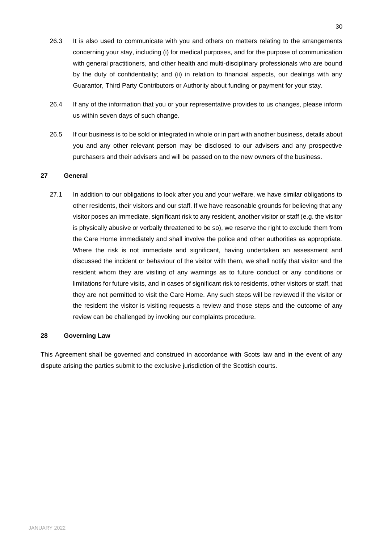- 26.3 It is also used to communicate with you and others on matters relating to the arrangements concerning your stay, including (i) for medical purposes, and for the purpose of communication with general practitioners, and other health and multi-disciplinary professionals who are bound by the duty of confidentiality; and (ii) in relation to financial aspects, our dealings with any Guarantor, Third Party Contributors or Authority about funding or payment for your stay.
- 26.4 If any of the information that you or your representative provides to us changes, please inform us within seven days of such change.
- 26.5 If our business is to be sold or integrated in whole or in part with another business, details about you and any other relevant person may be disclosed to our advisers and any prospective purchasers and their advisers and will be passed on to the new owners of the business.

# **27 General**

27.1 In addition to our obligations to look after you and your welfare, we have similar obligations to other residents, their visitors and our staff. If we have reasonable grounds for believing that any visitor poses an immediate, significant risk to any resident, another visitor or staff (e.g. the visitor is physically abusive or verbally threatened to be so), we reserve the right to exclude them from the Care Home immediately and shall involve the police and other authorities as appropriate. Where the risk is not immediate and significant, having undertaken an assessment and discussed the incident or behaviour of the visitor with them, we shall notify that visitor and the resident whom they are visiting of any warnings as to future conduct or any conditions or limitations for future visits, and in cases of significant risk to residents, other visitors or staff, that they are not permitted to visit the Care Home. Any such steps will be reviewed if the visitor or the resident the visitor is visiting requests a review and those steps and the outcome of any review can be challenged by invoking our complaints procedure.

## **28 Governing Law**

This Agreement shall be governed and construed in accordance with Scots law and in the event of any dispute arising the parties submit to the exclusive jurisdiction of the Scottish courts.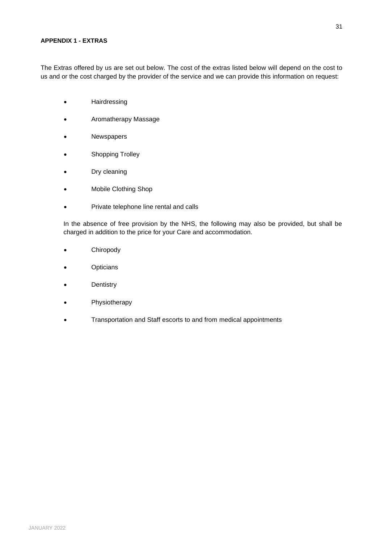# **APPENDIX 1 - EXTRAS**

The Extras offered by us are set out below. The cost of the extras listed below will depend on the cost to us and or the cost charged by the provider of the service and we can provide this information on request:

- Hairdressing
- Aromatherapy Massage
- Newspapers
- Shopping Trolley
- Dry cleaning
- Mobile Clothing Shop
- Private telephone line rental and calls

In the absence of free provision by the NHS, the following may also be provided, but shall be charged in addition to the price for your Care and accommodation.

- **Chiropody**
- **Opticians**
- **Dentistry**
- **Physiotherapy**
- Transportation and Staff escorts to and from medical appointments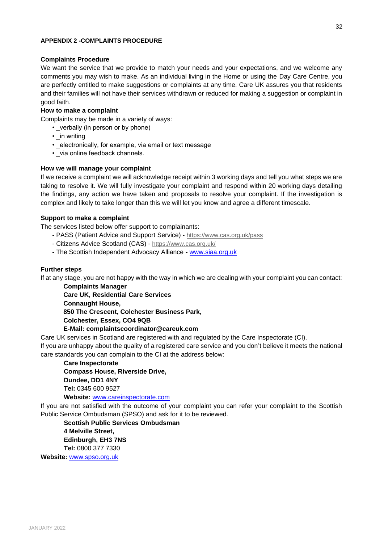### **APPENDIX 2 -COMPLAINTS PROCEDURE**

## **Complaints Procedure**

We want the service that we provide to match your needs and your expectations, and we welcome any comments you may wish to make. As an individual living in the Home or using the Day Care Centre, you are perfectly entitled to make suggestions or complaints at any time. Care UK assures you that residents and their families will not have their services withdrawn or reduced for making a suggestion or complaint in good faith.

# **How to make a complaint**

Complaints may be made in a variety of ways:

- verbally (in person or by phone)
- in writing
- electronically, for example, via email or text message
- via online feedback channels.

# **How we will manage your complaint**

If we receive a complaint we will acknowledge receipt within 3 working days and tell you what steps we are taking to resolve it. We will fully investigate your complaint and respond within 20 working days detailing the findings, any action we have taken and proposals to resolve your complaint. If the investigation is complex and likely to take longer than this we will let you know and agree a different timescale.

## **Support to make a complaint**

The services listed below offer support to complainants:

- PASS (Patient Advice and Support Service) https://www.cas.org.uk/pass
- Citizens Advice Scotland (CAS) https://www.cas.org.uk/
- The Scottish Independent Advocacy Alliance www.siaa.org.uk

# **Further steps**

If at any stage, you are not happy with the way in which we are dealing with your complaint you can contact:

**Complaints Manager Care UK, Residential Care Services Connaught House, 850 The Crescent, Colchester Business Park, Colchester, Essex, CO4 9QB** 

**E-Mail: [complaintscoordinator@careuk.com](mailto:complaintscoordinator@careuk.com)**

Care UK services in Scotland are registered with and regulated by the Care Inspectorate (CI). If you are unhappy about the quality of a registered care service and you don't believe it meets the national care standards you can complain to the CI at the address below:

## **Care Inspectorate Compass House, Riverside Drive,**

**Dundee, DD1 4NY Tel:** 0345 600 9527 **Website:** www.careinspectorate.com

If you are not satisfied with the outcome of your complaint you can refer your complaint to the Scottish Public Service Ombudsman (SPSO) and ask for it to be reviewed.

**Scottish Public Services Ombudsman 4 Melville Street, Edinburgh, EH3 7NS Tel:** 0800 377 7330

**Website:** www.spso.org.uk